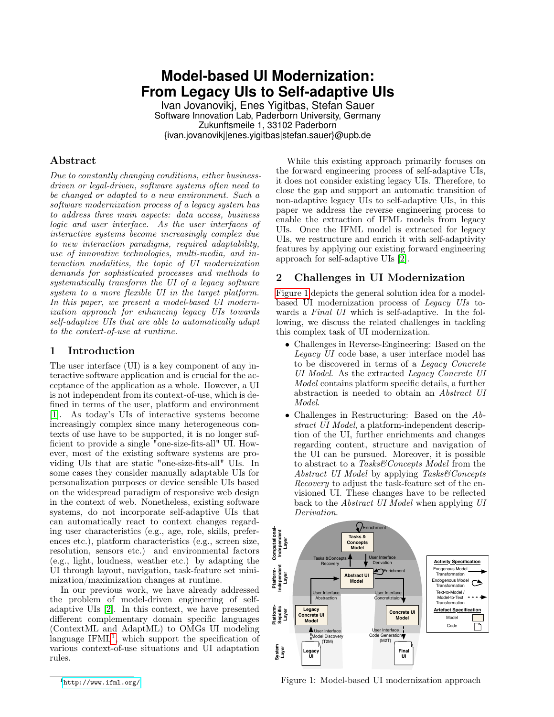# **Model-based UI Modernization: From Legacy UIs to Self-adaptive UIs**

Ivan Jovanovikj, Enes Yigitbas, Stefan Sauer Software Innovation Lab, Paderborn University, Germany Zukunftsmeile 1, 33102 Paderborn {ivan.jovanovikj|enes.yigitbas|stefan.sauer}@upb.de

## Abstract

Due to constantly changing conditions, either businessdriven or legal-driven, software systems often need to be changed or adapted to a new environment. Such a software modernization process of a legacy system has to address three main aspects: data access, business logic and user interface. As the user interfaces of interactive systems become increasingly complex due to new interaction paradigms, required adaptability, use of innovative technologies, multi-media, and interaction modalities, the topic of UI modernization demands for sophisticated processes and methods to systematically transform the UI of a legacy software system to a more flexible UI in the target platform. In this paper, we present a model-based UI modernization approach for enhancing legacy UIs towards self-adaptive UIs that are able to automatically adapt to the context-of-use at runtime.

## 1 Introduction

The user interface (UI) is a key component of any interactive software application and is crucial for the acceptance of the application as a whole. However, a UI is not independent from its context-of-use, which is defined in terms of the user, platform and environment [\[1\]](#page-1-0). As today's UIs of interactive systems become increasingly complex since many heterogeneous contexts of use have to be supported, it is no longer sufficient to provide a single "one-size-fits-all" UI. However, most of the existing software systems are providing UIs that are static "one-size-fits-all" UIs. In some cases they consider manually adaptable UIs for personalization purposes or device sensible UIs based on the widespread paradigm of responsive web design in the context of web. Nonetheless, existing software systems, do not incorporate self-adaptive UIs that can automatically react to context changes regarding user characteristics (e.g., age, role, skills, preferences etc.), platform characteristics (e.g., screen size, resolution, sensors etc.) and environmental factors (e.g., light, loudness, weather etc.) by adapting the UI through layout, navigation, task-feature set minimization/maximization changes at runtime.

In our previous work, we have already addressed the problem of model-driven engineering of selfadaptive UIs [\[2\]](#page-1-1). In this context, we have presented different complementary domain specific languages (ContextML and AdaptML) to OMGs UI modeling language IFML<sup>[1](#page-0-0)</sup>, which support the specification of various context-of-use situations and UI adaptation rules.

While this existing approach primarily focuses on the forward engineering process of self-adaptive UIs, it does not consider existing legacy UIs. Therefore, to close the gap and support an automatic transition of non-adaptive legacy UIs to self-adaptive UIs, in this paper we address the reverse engineering process to enable the extraction of IFML models from legacy UIs. Once the IFML model is extracted for legacy UIs, we restructure and enrich it with self-adaptivity features by applying our existing forward engineering approach for self-adaptive UIs [\[2\]](#page-1-1).

## 2 Challenges in UI Modernization

[Figure 1](#page-0-1) depicts the general solution idea for a modelbased UI modernization process of Legacy UIs towards a Final UI which is self-adaptive. In the following, we discuss the related challenges in tackling this complex task of UI modernization.

- Challenges in Reverse-Engineering: Based on the Legacy UI code base, a user interface model has to be discovered in terms of a Legacy Concrete UI Model. As the extracted Legacy Concrete UI Model contains platform specific details, a further abstraction is needed to obtain an Abstract UI Model.
- Challenges in Restructuring: Based on the Abstract UI Model, a platform-independent description of the UI, further enrichments and changes regarding content, structure and navigation of the UI can be pursued. Moreover, it is possible to abstract to a Tasks&Concepts Model from the Abstract UI Model by applying Tasks&Concepts Recovery to adjust the task-feature set of the envisioned UI. These changes have to be reflected back to the Abstract UI Model when applying UI Derivation.



<span id="page-0-1"></span>Figure 1: Model-based UI modernization approach

<span id="page-0-0"></span><sup>1</sup><http://www.ifml.org/>